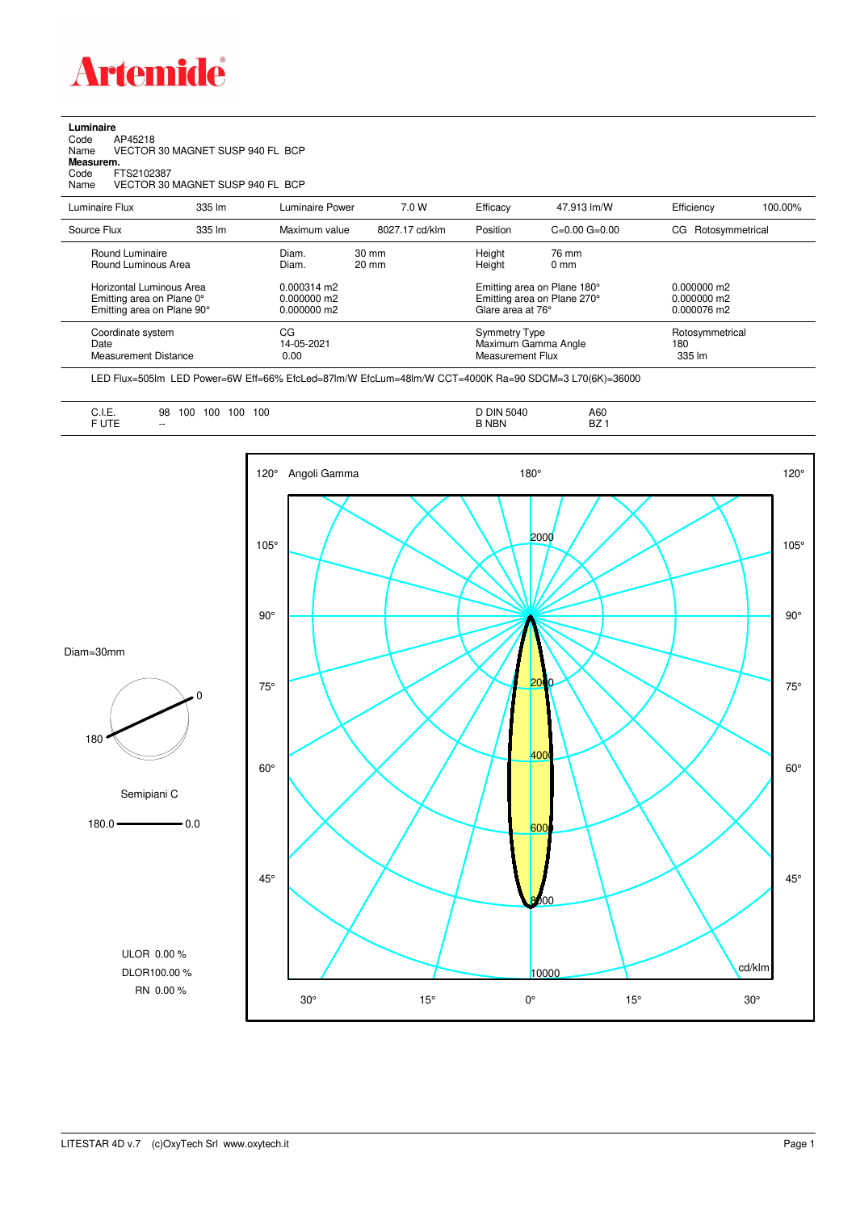

**Luminaire**<br>Code<br>Name Code AP45218 Name VECTOR 30 MAGNET SUSP 940 FL BCP **Measurem.** Code FTS2102387<br>Name VECTOR 30

VECTOR 30 MAGNET SUSP 940 FL BCP

| Luminaire Flux                                                                                                                | 335 lm | Luminaire Power                                                          | 7.0 W                              | Efficacy                                 | 47.913 lm/W                                                                                                                    | Efficiency                       | 100.00% |
|-------------------------------------------------------------------------------------------------------------------------------|--------|--------------------------------------------------------------------------|------------------------------------|------------------------------------------|--------------------------------------------------------------------------------------------------------------------------------|----------------------------------|---------|
| Source Flux                                                                                                                   | 335 lm | Maximum value                                                            | 8027.17 cd/klm                     | Position                                 | $C=0.00$ $G=0.00$                                                                                                              | CG Rotosymmetrical               |         |
| Round Luminaire<br>Round Luminous Area<br>Horizontal Luminous Area<br>Emitting area on Plane 0°<br>Emitting area on Plane 90° |        | Diam.<br>Diam.<br>$0.000314 \text{ m}$<br>$0.000000$ m2<br>$0.000000$ m2 | $30 \text{ mm}$<br>$20 \text{ mm}$ |                                          | Height<br>76 mm<br>Height<br>$0 \text{ mm}$<br>Emitting area on Plane 180°<br>Emitting area on Plane 270°<br>Glare area at 76° |                                  |         |
| Coordinate system<br>Date<br><b>Measurement Distance</b>                                                                      |        | CG<br>14-05-2021<br>0.00                                                 |                                    | <b>Symmetry Type</b><br>Measurement Flux | Maximum Gamma Angle                                                                                                            | Rotosymmetrical<br>180<br>335 lm |         |

LED Flux=505lm LED Power=6W Eff=66% EfcLed=87lm/W EfcLum=48lm/W CCT=4000K Ra=90 SDCM=3 L70(6K)=36000





LITESTAR 4D v.7 (c)OxyTech Srl www.oxytech.it Page 1